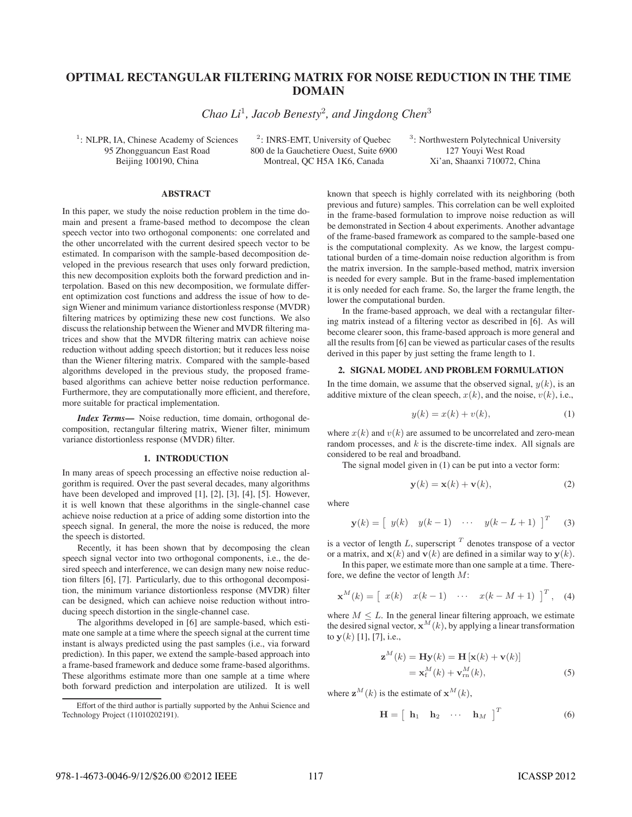# **OPTIMAL RECTANGULAR FILTERING MATRIX FOR NOISE REDUCTION IN THE TIME DOMAIN**

*Chao Li*<sup>1</sup>*, Jacob Benesty*<sup>2</sup>*, and Jingdong Chen*<sup>3</sup>

<sup>1</sup>: NLPR, IA, Chinese Academy of Sciences <sup>2</sup>: INRS-EMT, University of Quebec <sup>3</sup>: Northwestern Polytechnical University

95 Zhongguancun East Road 800 de la Gauchetiere Ouest, Suite 6900 127 Youyi West Road Beijing 100190, China Montreal, QC H5A 1K6, Canada Xi'an, Shaanxi 710072, China

# **ABSTRACT**

In this paper, we study the noise reduction problem in the time domain and present a frame-based method to decompose the clean speech vector into two orthogonal components: one correlated and the other uncorrelated with the current desired speech vector to be estimated. In comparison with the sample-based decomposition developed in the previous research that uses only forward prediction, this new decomposition exploits both the forward prediction and interpolation. Based on this new decomposition, we formulate different optimization cost functions and address the issue of how to design Wiener and minimum variance distortionless response (MVDR) filtering matrices by optimizing these new cost functions. We also discuss the relationship between the Wiener and MVDR filtering matrices and show that the MVDR filtering matrix can achieve noise reduction without adding speech distortion; but it reduces less noise than the Wiener filtering matrix. Compared with the sample-based algorithms developed in the previous study, the proposed framebased algorithms can achieve better noise reduction performance. Furthermore, they are computationally more efficient, and therefore, more suitable for practical implementation.

*Index Terms***—** Noise reduction, time domain, orthogonal decomposition, rectangular filtering matrix, Wiener filter, minimum variance distortionless response (MVDR) filter.

## **1. INTRODUCTION**

In many areas of speech processing an effective noise reduction algorithm is required. Over the past several decades, many algorithms have been developed and improved [1], [2], [3], [4], [5]. However, it is well known that these algorithms in the single-channel case achieve noise reduction at a price of adding some distortion into the speech signal. In general, the more the noise is reduced, the more the speech is distorted.

Recently, it has been shown that by decomposing the clean speech signal vector into two orthogonal components, i.e., the desired speech and interference, we can design many new noise reduction filters [6], [7]. Particularly, due to this orthogonal decomposition, the minimum variance distortionless response (MVDR) filter can be designed, which can achieve noise reduction without introducing speech distortion in the single-channel case.

The algorithms developed in [6] are sample-based, which estimate one sample at a time where the speech signal at the current time instant is always predicted using the past samples (i.e., via forward prediction). In this paper, we extend the sample-based approach into a frame-based framework and deduce some frame-based algorithms. These algorithms estimate more than one sample at a time where both forward prediction and interpolation are utilized. It is well known that speech is highly correlated with its neighboring (both previous and future) samples. This correlation can be well exploited in the frame-based formulation to improve noise reduction as will be demonstrated in Section 4 about experiments. Another advantage of the frame-based framework as compared to the sample-based one is the computational complexity. As we know, the largest computational burden of a time-domain noise reduction algorithm is from the matrix inversion. In the sample-based method, matrix inversion is needed for every sample. But in the frame-based implementation it is only needed for each frame. So, the larger the frame length, the lower the computational burden.

In the frame-based approach, we deal with a rectangular filtering matrix instead of a filtering vector as described in [6]. As will become clearer soon, this frame-based approach is more general and all the results from [6] can be viewed as particular cases of the results derived in this paper by just setting the frame length to 1.

#### **2. SIGNAL MODEL AND PROBLEM FORMULATION**

In the time domain, we assume that the observed signal,  $y(k)$ , is an additive mixture of the clean speech,  $x(k)$ , and the noise,  $v(k)$ , i.e.,

$$
y(k) = x(k) + v(k),\tag{1}
$$

where  $x(k)$  and  $y(k)$  are assumed to be uncorrelated and zero-mean random processes, and  $k$  is the discrete-time index. All signals are considered to be real and broadband.

The signal model given in (1) can be put into a vector form:

$$
\mathbf{y}(k) = \mathbf{x}(k) + \mathbf{v}(k),\tag{2}
$$

where

$$
\mathbf{y}(k) = \begin{bmatrix} y(k) & y(k-1) & \cdots & y(k-L+1) \end{bmatrix}^T \tag{3}
$$

is a vector of length  $L$ , superscript  $T$  denotes transpose of a vector or a matrix, and  $\mathbf{x}(k)$  and  $\mathbf{v}(k)$  are defined in a similar way to  $\mathbf{y}(k)$ .

In this paper, we estimate more than one sample at a time. Therefore, we define the vector of length M:

$$
\mathbf{x}^{M}(k) = \begin{bmatrix} x(k) & x(k-1) & \cdots & x(k-M+1) \end{bmatrix}^{T}, \quad (4)
$$

where  $M \leq L$ . In the general linear filtering approach, we estimate the desired signal vector,  $\mathbf{x}^{M}(k)$ , by applying a linear transformation to **y**(k) [1], [7], i.e.,

$$
\mathbf{z}^{M}(k) = \mathbf{H}\mathbf{y}(k) = \mathbf{H}\left[\mathbf{x}(k) + \mathbf{v}(k)\right]
$$

$$
= \mathbf{x}_{\mathrm{f}}^{M}(k) + \mathbf{v}_{\mathrm{rn}}^{M}(k), \tag{5}
$$

where  $\mathbf{z}^{M}(k)$  is the estimate of  $\mathbf{x}^{M}(k)$ ,

$$
\mathbf{H} = \begin{bmatrix} \mathbf{h}_1 & \mathbf{h}_2 & \cdots & \mathbf{h}_M \end{bmatrix}^T
$$
 (6)

Effort of the third author is partially supported by the Anhui Science and Technology Project (11010202191).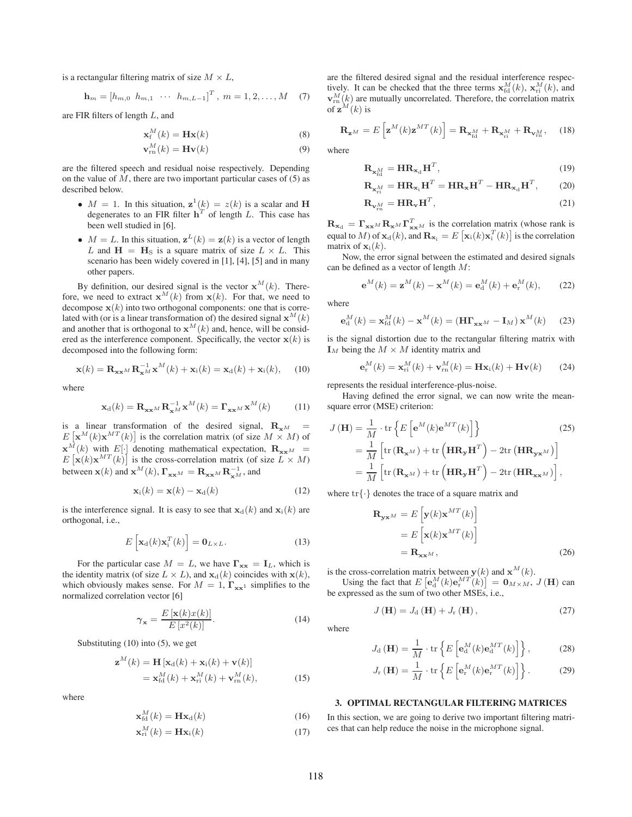is a rectangular filtering matrix of size  $M \times L$ ,

$$
\mathbf{h}_{m} = [h_{m,0} \ \ h_{m,1} \ \ \cdots \ \ h_{m,L-1}]^{T}, \ m = 1,2,\ldots,M \quad (7)
$$

are FIR filters of length L, and

$$
\mathbf{x}_{\mathrm{f}}^{M}(k) = \mathbf{H}\mathbf{x}(k)
$$
(8)  

$$
\mathbf{v}_{\mathrm{rn}}^{M}(k) = \mathbf{H}\mathbf{v}(k)
$$
(9)

are the filtered speech and residual noise respectively. Depending on the value of  $M$ , there are two important particular cases of (5) as described below.

- $M = 1$ . In this situation,  $\mathbf{z}^1(k) = z(k)$  is a scalar and **H** degenerates to an FIR filter  $\mathbf{h}^T$  of length L. This case has been well studied in [6].
- $M = L$ . In this situation,  $z^{L}(k) = z(k)$  is a vector of length L and  $H = H<sub>S</sub>$  is a square matrix of size  $L \times L$ . This scenario has been widely covered in [1], [4], [5] and in many other papers.

By definition, our desired signal is the vector  $\mathbf{x}^{M}(k)$ . Therefore, we need to extract  $\mathbf{x}^{M}(k)$  from  $\mathbf{x}(k)$ . For that, we need to decompose  $\mathbf{x}(k)$  into two orthogonal components: one that is correlated with (or is a linear transformation of) the desired signal  $\mathbf{x}^M(k)$ and another that is orthogonal to  $\mathbf{x}^{M}(k)$  and, hence, will be considered as the interference component. Specifically, the vector  $\mathbf{x}(k)$  is decomposed into the following form:

$$
\mathbf{x}(k) = \mathbf{R}_{\mathbf{x}\mathbf{x}^M} \mathbf{R}_{\mathbf{x}^M}^{-1} \mathbf{x}^M(k) + \mathbf{x}_i(k) = \mathbf{x}_d(k) + \mathbf{x}_i(k), \quad (10)
$$

where

$$
\mathbf{x}_{\mathrm{d}}(k) = \mathbf{R}_{\mathbf{x}\mathbf{x}^{M}} \mathbf{R}_{\mathbf{x}^{M}}^{-1} \mathbf{x}^{M}(k) = \mathbf{\Gamma}_{\mathbf{x}\mathbf{x}^{M}} \mathbf{x}^{M}(k)
$$
(11)

is a linear transformation of the desired signal,  $\mathbf{R}_{\mathbf{x}^M}$  =  $E\left[\mathbf{x}^M(k)\mathbf{x}^{MT}(k)\right]$  is the correlation matrix (of size  $M \times M$ ) of  $\mathbf{x}^{M}(k)$  with  $E[\cdot]$  denoting mathematical expectation,  $\mathbf{R}_{\mathbf{x}\mathbf{x}^{M}}$  =  $E\left[\mathbf{x}(k)\mathbf{x}^{MT}(k)\right]$  is the cross-correlation matrix (of size  $L \times M$ ) between  $\mathbf{x}(k)$  and  $\mathbf{x}^M(k)$ ,  $\mathbf{\Gamma}_{\mathbf{x}\mathbf{x}^M} = \mathbf{R}_{\mathbf{x}\mathbf{x}^M} \mathbf{R}_{\mathbf{x}^M}^{-1}$ , and

$$
\mathbf{x}_{i}(k) = \mathbf{x}(k) - \mathbf{x}_{d}(k)
$$
 (12)

is the interference signal. It is easy to see that  $\mathbf{x}_d(k)$  and  $\mathbf{x}_i(k)$  are orthogonal, i.e.,

$$
E\left[\mathbf{x}_{\mathrm{d}}(k)\mathbf{x}_{\mathrm{i}}^{T}(k)\right] = \mathbf{0}_{L \times L}.
$$
 (13)

For the particular case  $M = L$ , we have  $\Gamma_{\mathbf{x}\mathbf{x}} = \mathbf{I}_L$ , which is the identity matrix (of size  $L \times L$ ), and  $\mathbf{x}_d(k)$  coincides with  $\mathbf{x}(k)$ , which obviously makes sense. For  $M = 1$ ,  $\Gamma_{\mathbf{x}\mathbf{x}^1}$  simplifies to the normalized correlation vector [6]

$$
\gamma_{\mathbf{x}} = \frac{E\left[\mathbf{x}(k)x(k)\right]}{E\left[x^2(k)\right]}.
$$
\n(14)

Substituting  $(10)$  into  $(5)$ , we get

$$
\mathbf{z}^{M}(k) = \mathbf{H} \left[ \mathbf{x}_{\mathrm{d}}(k) + \mathbf{x}_{\mathrm{i}}(k) + \mathbf{v}(k) \right]
$$

$$
= \mathbf{x}_{\mathrm{fd}}^{M}(k) + \mathbf{x}_{\mathrm{ri}}^{M}(k) + \mathbf{v}_{\mathrm{m}}^{M}(k), \tag{15}
$$

where

$$
\mathbf{x}_{\text{fd}}^{M}(k) = \mathbf{H}\mathbf{x}_{\text{d}}(k) \tag{16}
$$

$$
\mathbf{x}_{\rm ri}^M(k) = \mathbf{H}\mathbf{x}_{\rm i}(k) \tag{17}
$$

are the filtered desired signal and the residual interference respectively. It can be checked that the three terms  $\mathbf{x}_{\text{fd}}^{M}(k)$ ,  $\mathbf{x}_{\text{ri}}^{M}(k)$ , and  $\mathbf{v}_{\text{rn}}^M(k)$  are mutually uncorrelated. Therefore, the correlation matrix of  $\mathbf{z}^M(k)$  is

$$
\mathbf{R}_{\mathbf{z}^M} = E\left[\mathbf{z}^M(k)\mathbf{z}^{MT}(k)\right] = \mathbf{R}_{\mathbf{x}_{\text{fd}}^M} + \mathbf{R}_{\mathbf{x}_{\text{ri}}^M} + \mathbf{R}_{\mathbf{v}_{\text{rn}}^M},\quad(18)
$$

where

$$
\mathbf{R}_{\mathbf{x}_{\text{fd}}^M} = \mathbf{H} \mathbf{R}_{\mathbf{x}_{\text{d}}} \mathbf{H}^T,\tag{19}
$$

$$
\mathbf{R}_{\mathbf{x}_{ri}^{M}} = \mathbf{H}\mathbf{R}_{\mathbf{x}_{i}}\mathbf{H}^{T} = \mathbf{H}\mathbf{R}_{\mathbf{x}}\mathbf{H}^{T} - \mathbf{H}\mathbf{R}_{\mathbf{x}_{d}}\mathbf{H}^{T},
$$
 (20)

$$
\mathbf{R}_{\mathbf{v}_{\rm rn}^M} = \mathbf{H} \mathbf{R}_{\mathbf{v}} \mathbf{H}^T,\tag{21}
$$

 $\mathbf{R}_{\mathbf{x}_{d}} = \mathbf{\Gamma}_{\mathbf{x}\mathbf{x}^{M}} \mathbf{R}_{\mathbf{x}^{M}} \mathbf{\Gamma}_{\mathbf{x}\mathbf{x}^{M}}^{T}$  is the correlation matrix (whose rank is equal to M) of  $\mathbf{x}_{d}(k)$ , and  $\mathbf{R}_{\mathbf{x}_{i}} = E\left[\mathbf{x}_{i}(k)\mathbf{x}_{i}^{T}(k)\right]$  is the correlation matrix of  $\mathbf{x}_i(k)$ .

Now, the error signal between the estimated and desired signals can be defined as a vector of length M:

$$
\mathbf{e}^{M}(k) = \mathbf{z}^{M}(k) - \mathbf{x}^{M}(k) = \mathbf{e}_{d}^{M}(k) + \mathbf{e}_{r}^{M}(k), \qquad (22)
$$

where

$$
\mathbf{e}_{\mathrm{d}}^{M}(k) = \mathbf{x}_{\mathrm{fd}}^{M}(k) - \mathbf{x}^{M}(k) = (\mathbf{H}\mathbf{\Gamma}_{\mathbf{x}\mathbf{x}^{M}} - \mathbf{I}_{M})\mathbf{x}^{M}(k)
$$
 (23)

is the signal distortion due to the rectangular filtering matrix with  $\mathbf{I}_M$  being the  $M \times M$  identity matrix and

$$
\mathbf{e}_{\mathrm{r}}^{M}(k) = \mathbf{x}_{\mathrm{ri}}^{M}(k) + \mathbf{v}_{\mathrm{rn}}^{M}(k) = \mathbf{H}\mathbf{x}_{\mathrm{i}}(k) + \mathbf{H}\mathbf{v}(k) \qquad (24)
$$

represents the residual interference-plus-noise.

Having defined the error signal, we can now write the meansquare error (MSE) criterion:

$$
J(\mathbf{H}) = \frac{1}{M} \cdot \text{tr} \left\{ E \left[ e^{M}(k) e^{MT}(k) \right] \right\}
$$
(25)  
=  $\frac{1}{M} \left[ \text{tr} (\mathbf{R}_{\mathbf{x}^{M}}) + \text{tr} (\mathbf{H} \mathbf{R}_{\mathbf{y}} \mathbf{H}^{T}) - 2 \text{tr} (\mathbf{H} \mathbf{R}_{\mathbf{y} \mathbf{x}^{M}}) \right]$   
=  $\frac{1}{M} \left[ \text{tr} (\mathbf{R}_{\mathbf{x}^{M}}) + \text{tr} (\mathbf{H} \mathbf{R}_{\mathbf{y}} \mathbf{H}^{T}) - 2 \text{tr} (\mathbf{H} \mathbf{R}_{\mathbf{x} \mathbf{x}^{M}}) \right],$ 

where  $\text{tr}\{\cdot\}$  denotes the trace of a square matrix and

$$
\mathbf{R}_{\mathbf{y}\mathbf{x}^{M}} = E\left[\mathbf{y}(k)\mathbf{x}^{MT}(k)\right]
$$

$$
= E\left[\mathbf{x}(k)\mathbf{x}^{MT}(k)\right]
$$

$$
= \mathbf{R}_{\mathbf{x}\mathbf{x}^{M}}, \qquad (26)
$$

is the cross-correlation matrix between  $\mathbf{y}(k)$  and  $\mathbf{x}^M(k)$ .

Using the fact that  $E\left[\mathbf{e}_{d}^{M}(k)\mathbf{e}_{r}^{MT}(k)\right] = \mathbf{0}_{M \times M}$ ,  $J(\mathbf{H})$  can be expressed as the sum of two other MSEs, i.e.,

$$
J(\mathbf{H}) = J_{\mathrm{d}}(\mathbf{H}) + J_{\mathrm{r}}(\mathbf{H}), \qquad (27)
$$

where

$$
J_{\rm d}(\mathbf{H}) = \frac{1}{M} \cdot \text{tr}\left\{ E\left[\mathbf{e}_{\rm d}^M(k)\mathbf{e}_{\rm d}^{MT}(k)\right]\right\},\tag{28}
$$

$$
J_{\rm r}(\mathbf{H}) = \frac{1}{M} \cdot {\rm tr} \left\{ E \left[ \mathbf{e}_{\rm r}^{M}(k) \mathbf{e}_{\rm r}^{MT}(k) \right] \right\}.
$$
 (29)

# **3. OPTIMAL RECTANGULAR FILTERING MATRICES**

In this section, we are going to derive two important filtering matrices that can help reduce the noise in the microphone signal.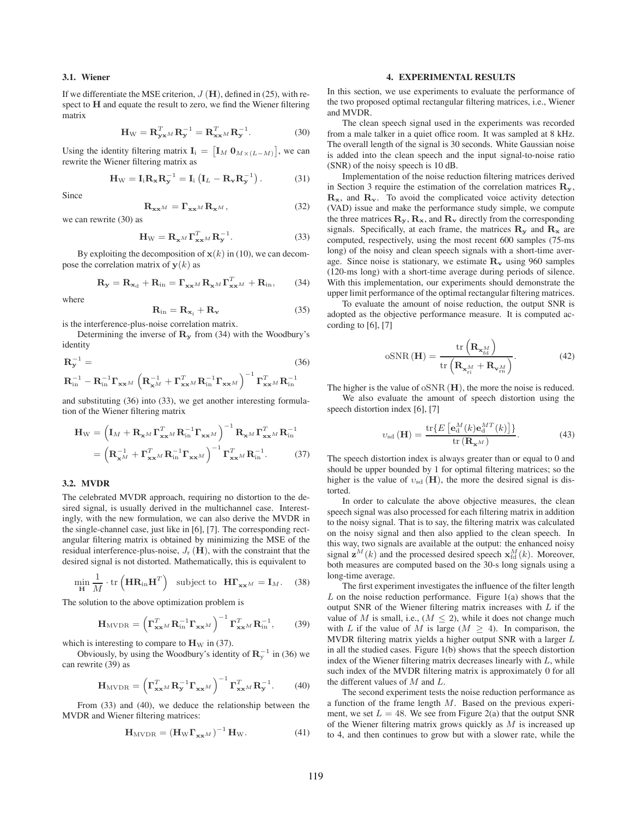#### **3.1. Wiener**

If we differentiate the MSE criterion,  $J(\mathbf{H})$ , defined in (25), with respect to **H** and equate the result to zero, we find the Wiener filtering matrix

$$
\mathbf{H}_{\mathbf{W}} = \mathbf{R}_{\mathbf{y}\mathbf{x}^M}^T \mathbf{R}_{\mathbf{y}}^{-1} = \mathbf{R}_{\mathbf{x}\mathbf{x}^M}^T \mathbf{R}_{\mathbf{y}}^{-1}.
$$
 (30)

Using the identity filtering matrix  $I_i = \begin{bmatrix} I_M & 0_{M \times (L-M)} \end{bmatrix}$ , we can rewrite the Wiener filtering matrix as

$$
\mathbf{H}_{\mathrm{W}} = \mathbf{I}_{i} \mathbf{R}_{\mathbf{x}} \mathbf{R}_{\mathbf{y}}^{-1} = \mathbf{I}_{i} \left( \mathbf{I}_{L} - \mathbf{R}_{\mathbf{v}} \mathbf{R}_{\mathbf{y}}^{-1} \right). \tag{31}
$$

Since

$$
\mathbf{R}_{\mathbf{x}\mathbf{x}^M} = \mathbf{\Gamma}_{\mathbf{x}\mathbf{x}^M} \mathbf{R}_{\mathbf{x}^M},\tag{32}
$$

we can rewrite (30) as

$$
\mathbf{H}_{\mathbf{W}} = \mathbf{R}_{\mathbf{x}^{M}} \mathbf{\Gamma}_{\mathbf{x} \mathbf{x}^{M}}^{T} \mathbf{R}_{\mathbf{y}}^{-1}.
$$
 (33)

By exploiting the decomposition of  $\mathbf{x}(k)$  in (10), we can decompose the correlation matrix of  $y(k)$  as

$$
\mathbf{R}_{\mathbf{y}} = \mathbf{R}_{\mathbf{x}_d} + \mathbf{R}_{in} = \mathbf{\Gamma}_{\mathbf{x}\mathbf{x}^M} \mathbf{R}_{\mathbf{x}^M} \mathbf{\Gamma}_{\mathbf{x}\mathbf{x}^M}^T + \mathbf{R}_{in}, \qquad (34)
$$

where

$$
\mathbf{R}_{\rm in} = \mathbf{R}_{\mathbf{x}_i} + \mathbf{R}_{\mathbf{v}} \tag{35}
$$

is the interference-plus-noise correlation matrix. Determining the inverse of  $\mathbf{R}_y$  from (34) with the Woodbury's identity

$$
\mathbf{R}_{\mathbf{y}}^{-1} = \tag{36}
$$
\n
$$
\mathbf{R}_{\text{in}}^{-1} - \mathbf{R}_{\text{in}}^{-1} \mathbf{\Gamma}_{\mathbf{x} \mathbf{x}^{M}} \left( \mathbf{R}_{\mathbf{x}^{M}}^{-1} + \mathbf{\Gamma}_{\mathbf{x} \mathbf{x}^{M}}^{T} \mathbf{R}_{\text{in}}^{-1} \mathbf{\Gamma}_{\mathbf{x} \mathbf{x}^{M}} \right)^{-1} \mathbf{\Gamma}_{\mathbf{x} \mathbf{x}^{M}}^{T} \mathbf{R}_{\text{in}}^{-1}
$$

and substituting (36) into (33), we get another interesting formulation of the Wiener filtering matrix

$$
\mathbf{H}_{\mathbf{W}} = \left(\mathbf{I}_{M} + \mathbf{R}_{\mathbf{x}^{M}} \mathbf{\Gamma}_{\mathbf{x} \mathbf{x}^{M}}^{T} \mathbf{R}_{\mathbf{in}}^{-1} \mathbf{\Gamma}_{\mathbf{x} \mathbf{x}^{M}}\right)^{-1} \mathbf{R}_{\mathbf{x}^{M}} \mathbf{\Gamma}_{\mathbf{x} \mathbf{x}^{M}}^{T} \mathbf{R}_{\mathbf{in}}^{-1}
$$

$$
= \left(\mathbf{R}_{\mathbf{x}^{M}}^{-1} + \mathbf{\Gamma}_{\mathbf{x} \mathbf{x}^{M}}^{T} \mathbf{R}_{\mathbf{in}}^{-1} \mathbf{\Gamma}_{\mathbf{x} \mathbf{x}^{M}}\right)^{-1} \mathbf{\Gamma}_{\mathbf{x} \mathbf{x}^{M}}^{T} \mathbf{R}_{\mathbf{in}}^{-1}.
$$
(37)

## **3.2. MVDR**

The celebrated MVDR approach, requiring no distortion to the desired signal, is usually derived in the multichannel case. Interestingly, with the new formulation, we can also derive the MVDR in the single-channel case, just like in [6], [7]. The corresponding rectangular filtering matrix is obtained by minimizing the MSE of the residual interference-plus-noise,  $J_r(\mathbf{H})$ , with the constraint that the desired signal is not distorted. Mathematically, this is equivalent to

$$
\min_{\mathbf{H}} \frac{1}{M} \cdot \text{tr}\left(\mathbf{H} \mathbf{R}_{\text{in}} \mathbf{H}^T\right) \text{ subject to } \mathbf{H} \mathbf{\Gamma}_{\mathbf{x} \mathbf{x}^M} = \mathbf{I}_M. \quad (38)
$$

The solution to the above optimization problem is

$$
\mathbf{H}_{\mathrm{MVDR}} = \left(\mathbf{\Gamma}_{\mathbf{x}\mathbf{x}^M}^T \mathbf{R}_{\mathrm{in}}^{-1} \mathbf{\Gamma}_{\mathbf{x}\mathbf{x}^M}\right)^{-1} \mathbf{\Gamma}_{\mathbf{x}\mathbf{x}^M}^T \mathbf{R}_{\mathrm{in}}^{-1},\tag{39}
$$

which is interesting to compare to  $\mathbf{H}_{\text{W}}$  in (37).

Obviously, by using the Woodbury's identity of  $\mathbb{R}_{v}^{-1}$  in (36) we can rewrite (39) as

$$
\mathbf{H}_{\mathrm{MVDR}} = \left(\mathbf{\Gamma}_{\mathbf{x}\mathbf{x}^M}^T \mathbf{R}_{\mathbf{y}}^{-1} \mathbf{\Gamma}_{\mathbf{x}\mathbf{x}^M}\right)^{-1} \mathbf{\Gamma}_{\mathbf{x}\mathbf{x}^M}^T \mathbf{R}_{\mathbf{y}}^{-1}.
$$
 (40)

From (33) and (40), we deduce the relationship between the MVDR and Wiener filtering matrices:

$$
\mathbf{H}_{\mathrm{MVDR}} = \left(\mathbf{H}_{\mathrm{W}} \mathbf{\Gamma}_{\mathbf{x} \mathbf{x}^M}\right)^{-1} \mathbf{H}_{\mathrm{W}}.\tag{41}
$$

### **4. EXPERIMENTAL RESULTS**

In this section, we use experiments to evaluate the performance of the two proposed optimal rectangular filtering matrices, i.e., Wiener and MVDR.

The clean speech signal used in the experiments was recorded from a male talker in a quiet office room. It was sampled at 8 kHz. The overall length of the signal is 30 seconds. White Gaussian noise is added into the clean speech and the input signal-to-noise ratio (SNR) of the noisy speech is 10 dB.

Implementation of the noise reduction filtering matrices derived in Section 3 require the estimation of the correlation matrices **Ry**, **Rx**, and **Rv**. To avoid the complicated voice activity detection (VAD) issue and make the performance study simple, we compute the three matrices  $\mathbf{R}_y$ ,  $\mathbf{R}_x$ , and  $\mathbf{R}_y$  directly from the corresponding signals. Specifically, at each frame, the matrices  $\mathbf{R}_\mathbf{v}$  and  $\mathbf{R}_\mathbf{x}$  are computed, respectively, using the most recent 600 samples (75-ms long) of the noisy and clean speech signals with a short-time average. Since noise is stationary, we estimate  $\mathbf{R}_{\mathbf{v}}$  using 960 samples (120-ms long) with a short-time average during periods of silence. With this implementation, our experiments should demonstrate the upper limit performance of the optimal rectangular filtering matrices.

To evaluate the amount of noise reduction, the output SNR is adopted as the objective performance measure. It is computed according to [6], [7]

$$
oSNR(\mathbf{H}) = \frac{\text{tr}\left(\mathbf{R}_{\mathbf{x}_{\text{fd}}^{M}}\right)}{\text{tr}\left(\mathbf{R}_{\mathbf{x}_{\text{ri}}^{M}} + \mathbf{R}_{\mathbf{v}_{\text{rn}}^{M}}\right)}.
$$
 (42)

The higher is the value of oSNR (**H**), the more the noise is reduced.

We also evaluate the amount of speech distortion using the speech distortion index [6], [7]

$$
v_{\rm sd}(\mathbf{H}) = \frac{\text{tr}\{E\left[\mathbf{e}_{\rm d}^M(k)\mathbf{e}_{\rm d}^{MT}(k)\right]\}}{\text{tr}\left(\mathbf{R}_{\mathbf{x}^M}\right)}.
$$
(43)

The speech distortion index is always greater than or equal to 0 and should be upper bounded by 1 for optimal filtering matrices; so the higher is the value of  $v_{sd}$  (**H**), the more the desired signal is distorted.

In order to calculate the above objective measures, the clean speech signal was also processed for each filtering matrix in addition to the noisy signal. That is to say, the filtering matrix was calculated on the noisy signal and then also applied to the clean speech. In this way, two signals are available at the output: the enhanced noisy signal  $\mathbf{z}^{M}(k)$  and the processed desired speech  $\mathbf{x}_{\text{fd}}^{M}(k)$ . Moreover, both measures are computed based on the 30-s long signals using a long-time average.

The first experiment investigates the influence of the filter length  $L$  on the noise reduction performance. Figure 1(a) shows that the output SNR of the Wiener filtering matrix increases with  $L$  if the value of M is small, i.e.,  $(M \leq 2)$ , while it does not change much with L if the value of M is large  $(M \geq 4)$ . In comparison, the MVDR filtering matrix yields a higher output SNR with a larger L in all the studied cases. Figure 1(b) shows that the speech distortion index of the Wiener filtering matrix decreases linearly with  $L$ , while such index of the MVDR filtering matrix is approximately 0 for all the different values of  $M$  and  $L$ .

The second experiment tests the noise reduction performance as a function of the frame length M. Based on the previous experiment, we set  $L = 48$ . We see from Figure 2(a) that the output SNR of the Wiener filtering matrix grows quickly as  $M$  is increased up to 4, and then continues to grow but with a slower rate, while the